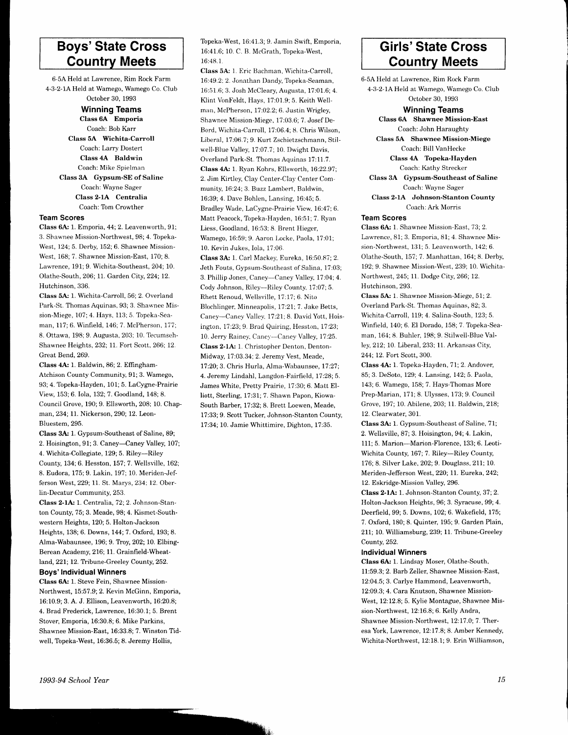# Boys'State Cross Countrv Meets

6-5A Held at Lawrence, Rim Rock Farm 4-3-2-1A Held at Wamego, Wamego Co. Club October 30, 1993

> Winning Teams Class 6A Emporia Coach: Bob Karr Class5A Wichita-Carroll Coach: Larry Dostert Class 4A Baldwin Coach: Mike Spielman Class 3A Gypsum-SE of Saline Coach: Wayne Sager Class 2-1A Centralia Coach: Tom Crowther

## Team Scores

Class 6A: 1. Emporia, 44; 2. Leavenworth, 91; 3. Shawnee Mission-Northwest, 98; 4. Topeka-West, 124; 5. Derby, 152; 6. Shawnee Mission-West, 168; 7. Shawnee Mission-East, 170; 8. Lawrence, 191; 9. Wichita-Southeast,204; 10. Olathe-South, 206; 11. Garden City, 224; 12. Hutchinson, 336.

Class 5A: 1. Wichita-Carroll, 56; 2. Overland Park-St. Thomas Aquinas. 93; 3. Shawnee Mission-Miege, 107; 4. Hays, 113; 5. Topeka-Seaman, 117; 6. Winfield, 146; 7. McPherson, 177; 8. Ottawa, 198; 9. Augusta, 203; 10. Tecumseh-Shawnee Heights, 232; 11. Fort Scott, 266; 12. Great Bend, 269.

Class 4A: 1. Baldwin, 86; 2. Effingham-Atchison County Community, 91; 3. Wamego, 93; 4. Topeka-Hayden, 101; 5. LaCygne-Prairie View, 153;6. Iola, I32;7. Goodland, 148; 8. Council Grove, 190; 9. Ellsworth,208; 10. Chapman,234;11. Nickerson, 290; 12. Leon-Bluestem,295.

Class 3A: 1. Gypsum-Southeast of Saline, 89; 2. Hoisington, 91; 3. Caney-Caney Valley, 107; 4. Wichita-Collegiate, 129; 5. Riley-Riley County, 134; 6. Hesston, I57:7. Wellsrille, 162; 8. Eudora, 175;9. Lakin, 197; 10. Meriden-Jefferson West,229; 11. St. Marys,234:12. Ober-Iin-Decatur Community, 253.

Class 2-1A: 1. Centralia, 72; 2. Johnson-Stanton County, 75; 3. Meade,98; 4. Kismet-Southwestern Heights, 120; 5. Holton-Jackson Heights, 138; 6. Downs, 144; 7. Oxford, 193; 8. Alma-Wabaunsee, 196; 9. Troy, 202; 10. Elbing-Berean Academy, 216; 11. Grainfreld-Wheatland, 221; 12. Tribune-Greeley County, 252.

## Boys' Individual Winners

Class 6A: 1. Steve Fein, Shawnee Mission-Northwest, 15:57.9; 2. Kevin McGinn, Emporia, 16:10.9; 3. A. J. Ellison, Leavenworth, 16:20.8; 4. Brad Frederick, Lawrence, 16:30.1; 5. Brent Stover, Emporia, 16:30.8; 6. Mike Parkins, Shawnee Mission-East. 16:33.8: 7. Winston Tidwell, Topeka-West, 16:36.5; 8. Jeremy Hollis,

Topeka-West, 16:41.3; 9. Jamin Swift, Emporia, 16:41.6; 10. C. B. McGrath, Topeka-West, 16:48.1

Class 5A: 1. Eric Bachman, Wichita-Carroll, 16:19.2. 2. Jonathan Dandy, Topeka-Seaman, 16:51.6; 3. Josh McCleary, Augusta, 17:01.6; 4. Klint VbnFeldt, Hays, 17:01.9; 5. Keith Wellman, McPherson, 17:02.2; 6. Justin Wrigley, Shawnee Mission-Miege, 17:03,6; 7. Josef De-Bord, Wichita-Carroll, 17 :06.4; 8. Chris Wilson, Liberal, 17 :06.7 ; 9. Kurt Zschietzschmann, Stilwell-Blue Valley, 17:07.7; 10. Dwight Davis, Overland Park-St. Thomas Aquinas 17:11.7. Class 4A: 1. Ryan Kohrs, Ellsworth, 16:22.97; 2. Jim Kirtley, Clay Center-Clay Center Community, 16:24; 3. Buzz Lambert, Baldwin, 16:39; 4. Dave Bohlen, Lansing, 16:45; 5. Bradley Wade, LaCygne-Prairie View, 16:47; 6. Matt Peacock, Topeka-Hayden, 16:51; 7. Ryan Liess, Goodland, 16:53; 8. Brent Hieger, Wamego, 16:59; 9. Aaron Locke, Paola, 17:01; 10. Kevin Jukes. Io1a. 17:06.

Class 3A: 1. Carl Mackey, Eureka, 16:50.87; 2. Jeth Fouts, Gypsum-Southeast of Salina, 17:03; 3. Phillip Jones, Caney-Caney Vhlley, 17:04;4. Cody Johnson, Riley-Riley County, 17:07; 5. Rhett Renoud, Wellsville, 17:17; 6. Nito Blochlinger, Minneapolis, 17:21; 7. Jake Betts, Caney-Caney Valley, 17:21; 8. David Yott, Hoisington, 17.23:9. Brad Quiring, Hesston, 1?:23; 10. Jerry Rainey, Caney---Caney Valley, 17:25. Class 2-1A: 1. Christopher Denton, Denton-Midway, 17:03.34: 2. Jeremy Vest, Meade, 17:20;3. Chris Hurla, Alma-Wabaunsee, 17:27; 4. Jeremy Lindahl, Langdon-Fairfield, 17:28; 5. James White, Pretty Prairie, 17:30; 6. Matt Elliott, Sterling, 17:3t;7. Shawn Papon, Kiowa-South Barber, 17:32; 8. Brett Loewen, Meade, 17:33; 9. Scott Tucker, Johnson-Stanton County, 17:34;10. Jamie Whittimire, Dighton, 17:35.

# Girls'State Cross Countrv Meets

6-5A lleld at Lawrence, Rim Rock Farm 4-3-2-1A Held at Wamego, Wamego Co. Club October 30, 1993 Winning Teams Class 6A Shawnee Mission-East Coach: John Haraughty Class 5A Shawnee Mission-Miege Coach: Bill VanHecke Class 4A Topeka-Hayden Coach: Kathy Strecker Class 3A Gypsum-Southeast of Saline Coach: Wayne Sager

Class 2-1A Johnson-Stanton County Coach:Ark Morris

# Team Scores

Class 6A: 1. Shawnee Mission-East, 73; 2. Lawrence, 81; 3. Emporia, 81; 4. Shawnee Mission-Northwest, 131; 5. Leavenworth, 142; 6. Olathe-South, 157; 7. Manhattan, 164; 8. Derby, 192; 9. Shawnee Mission-West,239; 10. Wichita-Northwest, 245; ll. Dodge City, 266; 12. Hutchinson, 293.

Class 5A: 1. Shawnee Mission-Miege, 51; 2. Overland Park-St. Thomas Aquinas,82; 3. Wichita-Carroll, 119; 4. Salina-South, 123; 5. Winfield, 140; 6. El Dorado, 158; 7. Topeka-Seaman, 164; 8. Buhler, 198; 9. Stilwell-Blue Valley,2l2;10. Liberal,233; 11. Arkansas City, 244; 12. Fort Scott, 300.

Class 4A: 1. Topeka-Hayden, 71; 2. Andover, 85; 3. DeSoto, 129; 4. Lansing, 142; 5. Paola, 143; 6. Wamego, 158; 7. Hays-Thomas More Prep-Marian, 171; 8. Ulysses, 173; 9. Council Grove, 197; 10. Abilene,203; 11. Baldwin,218; 12. Clearwater, 301.

Class 3A: 1. Gypsum-Southeast of Saline,71; 2. Wellsville, 87; 3. Hoisington, 94; 4. Lakin, 111; 5. Marion-Marion-Florence, 133; 6. Leoti-Wichita County, 167;7. Riley-Riley County, 176;8. Silver Lake, 202'.9. Douglass,2li; 10. Meriden-Jefferson West, 220; ll. Eureka, 242; 12. Eskridge-Mission Valley, 296.

Class 2-1A: 1. Johnson-Stanton County, 37; 2. Holton-Jackson Heights, 96; 3. Syracuse, 99; 4. Deerfreld, 99; 5. Downs, 102; 6. Wakefield, 175; 7. Oxford, 180; 8. Quinter, 195; 9. Garden Plain, 211; 10. Williamsburg, 239; 11. Tribune-Greeley County,252.

# Individual Winners

Class 6A; 1. Lindsay Moser, Olathe-South, 11:59.3: 2. Barb Zellet, Shawnee Mission-East, 12:04.5; 3. Carlye Hammond, Leavenworth, 12:09.3; 4. Cara Knutson, Shawnee Mission-West, 12:12.8; 5. Kylie Montague, Shawnee Mission-Northwest, 12:16.8; 6. Kelly Andra, Shawnee Mission-Northwest, 12:17 .0; 7. Theresa York, Lawrence, 12:17.8; 8. Amber Kennedy, Wichita-Northwest, 12:18. 1; 9. Erin Williamson,